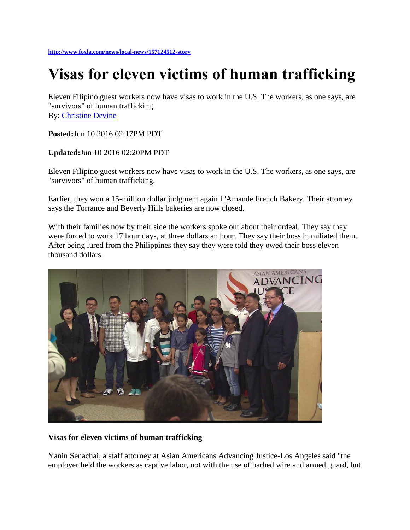## **Visas for eleven victims of human trafficking**

Eleven Filipino guest workers now have visas to work in the U.S. The workers, as one says, are "survivors" of human trafficking. By: [Christine Devine](mailto:christine.devine@foxtv.com?body=http://www.foxla.com/news/local-news/157124512-story)

**Posted:**Jun 10 2016 02:17PM PDT

**Updated:**Jun 10 2016 02:20PM PDT

Eleven Filipino guest workers now have visas to work in the U.S. The workers, as one says, are "survivors" of human trafficking.

Earlier, they won a 15-million dollar judgment again L'Amande French Bakery. Their attorney says the Torrance and Beverly Hills bakeries are now closed.

With their families now by their side the workers spoke out about their ordeal. They say they were forced to work 17 hour days, at three dollars an hour. They say their boss humiliated them. After being lured from the Philippines they say they were told they owed their boss eleven thousand dollars.



## **Visas for eleven victims of human trafficking**

Yanin Senachai, a staff attorney at Asian Americans Advancing Justice-Los Angeles said "the employer held the workers as captive labor, not with the use of barbed wire and armed guard, but